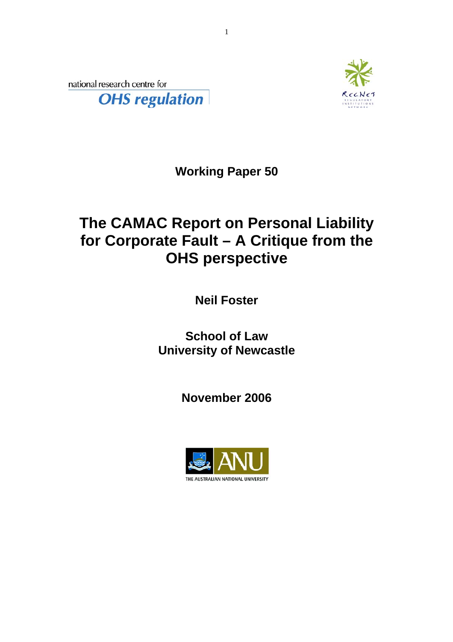national research centre for **OHS** regulation



**Working Paper 50** 

## **The CAMAC Report on Personal Liability for Corporate Fault – A Critique from the OHS perspective**

**Neil Foster** 

**School of Law University of Newcastle**

**November 2006** 

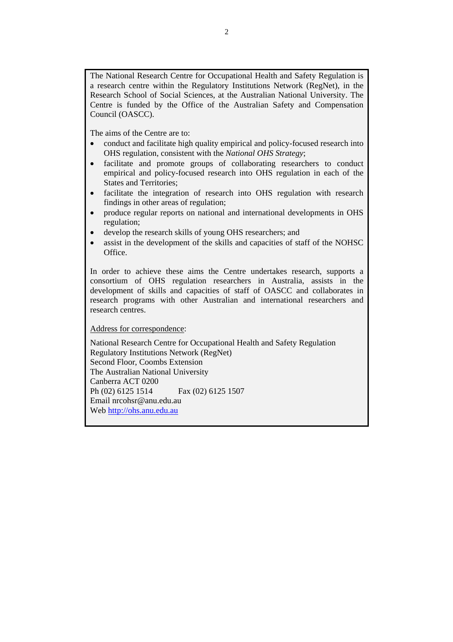The National Research Centre for Occupational Health and Safety Regulation is a research centre within the Regulatory Institutions Network (RegNet), in the Research School of Social Sciences, at the Australian National University. The Centre is funded by the Office of the Australian Safety and Compensation Council (OASCC).

The aims of the Centre are to:

- conduct and facilitate high quality empirical and policy-focused research into OHS regulation, consistent with the *National OHS Strategy*;
- facilitate and promote groups of collaborating researchers to conduct empirical and policy-focused research into OHS regulation in each of the States and Territories;
- facilitate the integration of research into OHS regulation with research findings in other areas of regulation;
- produce regular reports on national and international developments in OHS regulation;
- develop the research skills of young OHS researchers; and
- assist in the development of the skills and capacities of staff of the NOHSC Office.

In order to achieve these aims the Centre undertakes research, supports a consortium of OHS regulation researchers in Australia, assists in the development of skills and capacities of staff of OASCC and collaborates in research programs with other Australian and international researchers and research centres.

Address for correspondence:

National Research Centre for Occupational Health and Safety Regulation Regulatory Institutions Network (RegNet) Second Floor, Coombs Extension The Australian National University Canberra ACT 0200 Ph (02) 6125 1514 Fax (02) 6125 1507 Email nrcohsr@anu.edu.au Web [http://ohs.anu.edu.au](http://ohs.anu.edu.au/)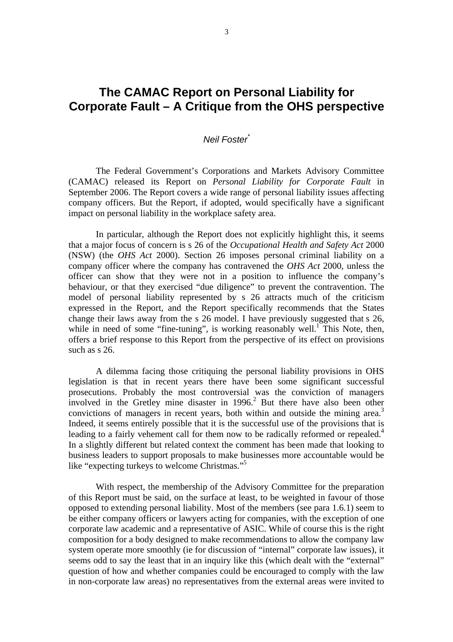## **The CAMAC Report on Personal Liability for Corporate Fault – A Critique from the OHS perspective**

## *Neil Foster[\\*](#page-8-0)*

The Federal Government's Corporations and Markets Advisory Committee (CAMAC) released its Report on *Personal Liability for Corporate Fault* in September 2006. The Report covers a wide range of personal liability issues affecting company officers. But the Report, if adopted, would specifically have a significant impact on personal liability in the workplace safety area.

In particular, although the Report does not explicitly highlight this, it seems that a major focus of concern is s 26 of the *Occupational Health and Safety Act* 2000 (NSW) (the *OHS Act* 2000). Section 26 imposes personal criminal liability on a company officer where the company has contravened the *OHS Act* 2000, unless the officer can show that they were not in a position to influence the company's behaviour, or that they exercised "due diligence" to prevent the contravention. The model of personal liability represented by s 26 attracts much of the criticism expressed in the Report, and the Report specifically recommends that the States change their laws away from the s 26 model. I have previously suggested that s 26, while in need of some "fine-tuning", is working reasonably well.<sup>[1](#page-8-1)</sup> This Note, then, offers a brief response to this Report from the perspective of its effect on provisions such as s 26.

A dilemma facing those critiquing the personal liability provisions in OHS legislation is that in recent years there have been some significant successful prosecutions. Probably the most controversial was the conviction of managers involved in the Gretley mine disaster in  $1996<sup>2</sup>$  $1996<sup>2</sup>$  $1996<sup>2</sup>$  But there have also been other convictions of managers in recent years, both within and outside the mining area.<sup>[3](#page-8-3)</sup> Indeed, it seems entirely possible that it is the successful use of the provisions that is leading to a fairly vehement call for them now to be radically reformed or repealed.<sup>4</sup> In a slightly different but related context the comment has been made that looking to business leaders to support proposals to make businesses more accountable would be like "expecting turkeys to welcome Christmas."<sup>[5](#page-8-5)</sup>

With respect, the membership of the Advisory Committee for the preparation of this Report must be said, on the surface at least, to be weighted in favour of those opposed to extending personal liability. Most of the members (see para 1.6.1) seem to be either company officers or lawyers acting for companies, with the exception of one corporate law academic and a representative of ASIC. While of course this is the right composition for a body designed to make recommendations to allow the company law system operate more smoothly (ie for discussion of "internal" corporate law issues), it seems odd to say the least that in an inquiry like this (which dealt with the "external" question of how and whether companies could be encouraged to comply with the law in non-corporate law areas) no representatives from the external areas were invited to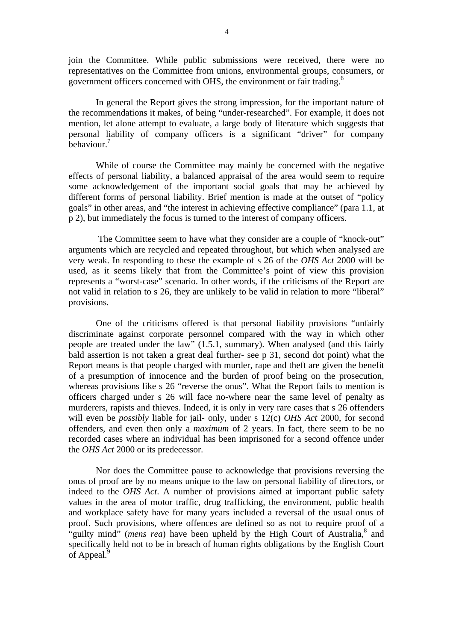join the Committee. While public submissions were received, there were no representatives on the Committee from unions, environmental groups, consumers, or government officers concerned with OHS, the environment or fair trading.<sup>[6](#page-8-6)</sup>

In general the Report gives the strong impression, for the important nature of the recommendations it makes, of being "under-researched". For example, it does not mention, let alone attempt to evaluate, a large body of literature which suggests that personal liability of company officers is a significant "driver" for company behaviour.<sup>7</sup>

While of course the Committee may mainly be concerned with the negative effects of personal liability, a balanced appraisal of the area would seem to require some acknowledgement of the important social goals that may be achieved by different forms of personal liability. Brief mention is made at the outset of "policy goals" in other areas, and "the interest in achieving effective compliance" (para 1.1, at p 2), but immediately the focus is turned to the interest of company officers.

 The Committee seem to have what they consider are a couple of "knock-out" arguments which are recycled and repeated throughout, but which when analysed are very weak. In responding to these the example of s 26 of the *OHS Act* 2000 will be used, as it seems likely that from the Committee's point of view this provision represents a "worst-case" scenario. In other words, if the criticisms of the Report are not valid in relation to s 26, they are unlikely to be valid in relation to more "liberal" provisions.

One of the criticisms offered is that personal liability provisions "unfairly discriminate against corporate personnel compared with the way in which other people are treated under the law" (1.5.1, summary). When analysed (and this fairly bald assertion is not taken a great deal further- see p 31, second dot point) what the Report means is that people charged with murder, rape and theft are given the benefit of a presumption of innocence and the burden of proof being on the prosecution, whereas provisions like s 26 "reverse the onus". What the Report fails to mention is officers charged under s 26 will face no-where near the same level of penalty as murderers, rapists and thieves. Indeed, it is only in very rare cases that s 26 offenders will even be *possibly* liable for jail- only, under s 12(c) *OHS Act* 2000, for second offenders, and even then only a *maximum* of 2 years. In fact, there seem to be no recorded cases where an individual has been imprisoned for a second offence under the *OHS Act* 2000 or its predecessor.

Nor does the Committee pause to acknowledge that provisions reversing the onus of proof are by no means unique to the law on personal liability of directors, or indeed to the *OHS Act*. A number of provisions aimed at important public safety values in the area of motor traffic, drug trafficking, the environment, public health and workplace safety have for many years included a reversal of the usual onus of proof. Such provisions, where offences are defined so as not to require proof of a "guilty mind" (*mens rea*) have been upheld by the High Court of Australia,<sup>[8](#page-8-8)</sup> and specifically held not to be in breach of human rights obligations by the English Court of Appeal.<sup>[9](#page-8-9)</sup>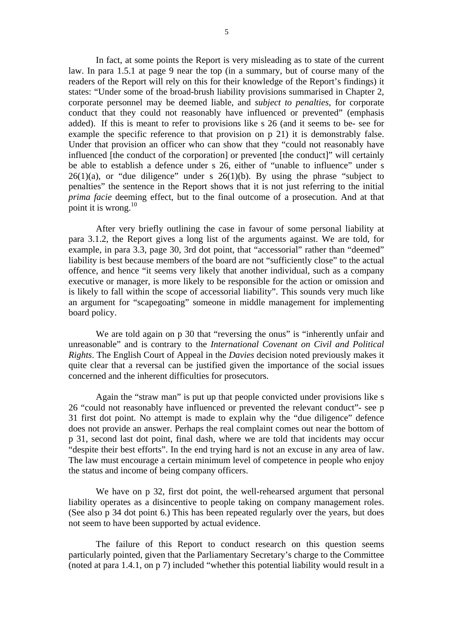In fact, at some points the Report is very misleading as to state of the current law. In para 1.5.1 at page 9 near the top (in a summary, but of course many of the readers of the Report will rely on this for their knowledge of the Report's findings) it states: "Under some of the broad-brush liability provisions summarised in Chapter 2, corporate personnel may be deemed liable, and *subject to penalties*, for corporate conduct that they could not reasonably have influenced or prevented" (emphasis added). If this is meant to refer to provisions like s 26 (and it seems to be- see for example the specific reference to that provision on p 21) it is demonstrably false. Under that provision an officer who can show that they "could not reasonably have influenced [the conduct of the corporation] or prevented [the conduct]" will certainly be able to establish a defence under s 26, either of "unable to influence" under s  $26(1)(a)$ , or "due diligence" under s  $26(1)(b)$ . By using the phrase "subject to penalties" the sentence in the Report shows that it is not just referring to the initial *prima facie* deeming effect, but to the final outcome of a prosecution. And at that point it is wrong. $^{10}$ 

After very briefly outlining the case in favour of some personal liability at para 3.1.2, the Report gives a long list of the arguments against. We are told, for example, in para 3.3, page 30, 3rd dot point, that "accessorial" rather than "deemed" liability is best because members of the board are not "sufficiently close" to the actual offence, and hence "it seems very likely that another individual, such as a company executive or manager, is more likely to be responsible for the action or omission and is likely to fall within the scope of accessorial liability". This sounds very much like an argument for "scapegoating" someone in middle management for implementing board policy.

We are told again on p 30 that "reversing the onus" is "inherently unfair and unreasonable" and is contrary to the *International Covenant on Civil and Political Rights*. The English Court of Appeal in the *Davies* decision noted previously makes it quite clear that a reversal can be justified given the importance of the social issues concerned and the inherent difficulties for prosecutors.

Again the "straw man" is put up that people convicted under provisions like s 26 "could not reasonably have influenced or prevented the relevant conduct"- see p 31 first dot point. No attempt is made to explain why the "due diligence" defence does not provide an answer. Perhaps the real complaint comes out near the bottom of p 31, second last dot point, final dash, where we are told that incidents may occur "despite their best efforts". In the end trying hard is not an excuse in any area of law. The law must encourage a certain minimum level of competence in people who enjoy the status and income of being company officers.

We have on p 32, first dot point, the well-rehearsed argument that personal liability operates as a disincentive to people taking on company management roles. (See also p 34 dot point 6.) This has been repeated regularly over the years, but does not seem to have been supported by actual evidence.

The failure of this Report to conduct research on this question seems particularly pointed, given that the Parliamentary Secretary's charge to the Committee (noted at para 1.4.1, on p 7) included "whether this potential liability would result in a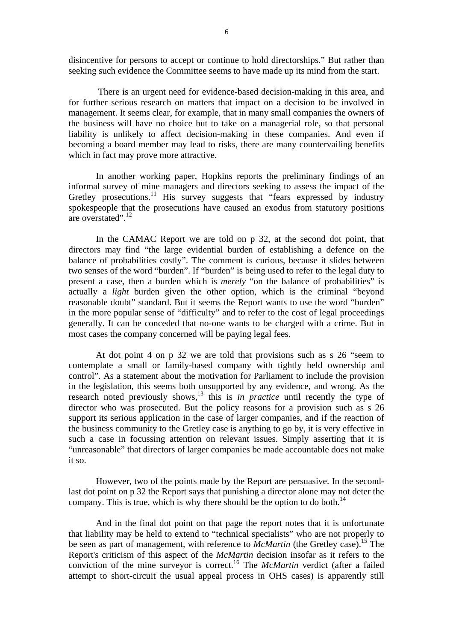disincentive for persons to accept or continue to hold directorships." But rather than seeking such evidence the Committee seems to have made up its mind from the start.

 There is an urgent need for evidence-based decision-making in this area, and for further serious research on matters that impact on a decision to be involved in management. It seems clear, for example, that in many small companies the owners of the business will have no choice but to take on a managerial role, so that personal liability is unlikely to affect decision-making in these companies. And even if becoming a board member may lead to risks, there are many countervailing benefits which in fact may prove more attractive.

In another working paper, Hopkins reports the preliminary findings of an informal survey of mine managers and directors seeking to assess the impact of the Gretley prosecutions.<sup>11</sup> His survey suggests that "fears expressed by industry spokespeople that the prosecutions have caused an exodus from statutory positions are overstated".<sup>12</sup>

In the CAMAC Report we are told on p 32, at the second dot point, that directors may find "the large evidential burden of establishing a defence on the balance of probabilities costly". The comment is curious, because it slides between two senses of the word "burden". If "burden" is being used to refer to the legal duty to present a case, then a burden which is *merely* "on the balance of probabilities" is actually a *light* burden given the other option, which is the criminal "beyond reasonable doubt" standard. But it seems the Report wants to use the word "burden" in the more popular sense of "difficulty" and to refer to the cost of legal proceedings generally. It can be conceded that no-one wants to be charged with a crime. But in most cases the company concerned will be paying legal fees.

At dot point 4 on p 32 we are told that provisions such as s 26 "seem to contemplate a small or family-based company with tightly held ownership and control". As a statement about the motivation for Parliament to include the provision in the legislation, this seems both unsupported by any evidence, and wrong. As the research noted previously shows,[13](#page-8-13) this is *in practice* until recently the type of director who was prosecuted. But the policy reasons for a provision such as s 26 support its serious application in the case of larger companies, and if the reaction of the business community to the Gretley case is anything to go by, it is very effective in such a case in focussing attention on relevant issues. Simply asserting that it is "unreasonable" that directors of larger companies be made accountable does not make it so.

However, two of the points made by the Report are persuasive. In the secondlast dot point on p 32 the Report says that punishing a director alone may not deter the company. This is true, which is why there should be the option to do both.<sup>14</sup>

And in the final dot point on that page the report notes that it is unfortunate that liability may be held to extend to "technical specialists" who are not properly to be seen as part of management, with reference to *McMartin* (the Gretley case).<sup>15</sup> The Report's criticism of this aspect of the *McMartin* decision insofar as it refers to the conviction of the mine surveyor is correct.[16](#page-8-16) The *McMartin* verdict (after a failed attempt to short-circuit the usual appeal process in OHS cases) is apparently still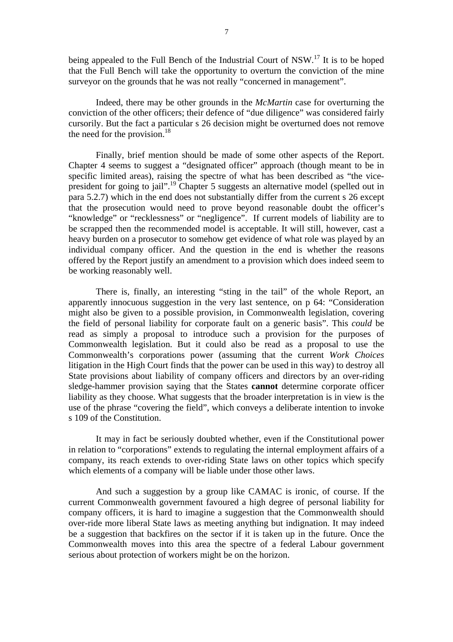being appealed to the Full Bench of the Industrial Court of NSW.<sup>17</sup> It is to be hoped that the Full Bench will take the opportunity to overturn the conviction of the mine surveyor on the grounds that he was not really "concerned in management".

Indeed, there may be other grounds in the *McMartin* case for overturning the conviction of the other officers; their defence of "due diligence" was considered fairly cursorily. But the fact a particular s 26 decision might be overturned does not remove the need for the provision. $18$ 

Finally, brief mention should be made of some other aspects of the Report. Chapter 4 seems to suggest a "designated officer" approach (though meant to be in specific limited areas), raising the spectre of what has been described as "the vicepresident for going to jail".<sup>19</sup> Chapter 5 suggests an alternative model (spelled out in para 5.2.7) which in the end does not substantially differ from the current s 26 except that the prosecution would need to prove beyond reasonable doubt the officer's "knowledge" or "recklessness" or "negligence". If current models of liability are to be scrapped then the recommended model is acceptable. It will still, however, cast a heavy burden on a prosecutor to somehow get evidence of what role was played by an individual company officer. And the question in the end is whether the reasons offered by the Report justify an amendment to a provision which does indeed seem to be working reasonably well.

There is, finally, an interesting "sting in the tail" of the whole Report, an apparently innocuous suggestion in the very last sentence, on p 64: "Consideration might also be given to a possible provision, in Commonwealth legislation, covering the field of personal liability for corporate fault on a generic basis". This *could* be read as simply a proposal to introduce such a provision for the purposes of Commonwealth legislation. But it could also be read as a proposal to use the Commonwealth's corporations power (assuming that the current *Work Choices* litigation in the High Court finds that the power can be used in this way) to destroy all State provisions about liability of company officers and directors by an over-riding sledge-hammer provision saying that the States **cannot** determine corporate officer liability as they choose. What suggests that the broader interpretation is in view is the use of the phrase "covering the field", which conveys a deliberate intention to invoke s 109 of the Constitution.

It may in fact be seriously doubted whether, even if the Constitutional power in relation to "corporations" extends to regulating the internal employment affairs of a company, its reach extends to over-riding State laws on other topics which specify which elements of a company will be liable under those other laws.

And such a suggestion by a group like CAMAC is ironic, of course. If the current Commonwealth government favoured a high degree of personal liability for company officers, it is hard to imagine a suggestion that the Commonwealth should over-ride more liberal State laws as meeting anything but indignation. It may indeed be a suggestion that backfires on the sector if it is taken up in the future. Once the Commonwealth moves into this area the spectre of a federal Labour government serious about protection of workers might be on the horizon.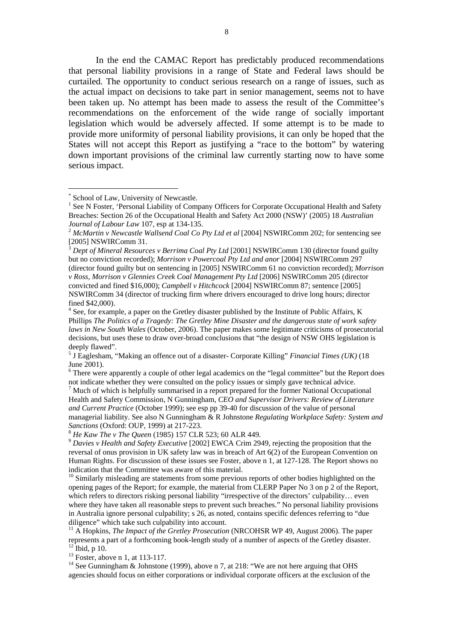In the end the CAMAC Report has predictably produced recommendations that personal liability provisions in a range of State and Federal laws should be curtailed. The opportunity to conduct serious research on a range of issues, such as the actual impact on decisions to take part in senior management, seems not to have been taken up. No attempt has been made to assess the result of the Committee's recommendations on the enforcement of the wide range of socially important legislation which would be adversely affected. If some attempt is to be made to provide more uniformity of personal liability provisions, it can only be hoped that the States will not accept this Report as justifying a "race to the bottom" by watering down important provisions of the criminal law currently starting now to have some serious impact.

 $\overline{a}$ 

 $^{13}$  Foster, above n 1, at 113-117.

<sup>14</sup> See Gunningham & Johnstone (1999), above n 7, at 218: "We are not here arguing that OHS agencies should focus on either corporations or individual corporate officers at the exclusion of the

<sup>\*</sup> School of Law, University of Newcastle.

<sup>1</sup> See N Foster, 'Personal Liability of Company Officers for Corporate Occupational Health and Safety Breaches: Section 26 of the Occupational Health and Safety Act 2000 (NSW)' (2005) 18 *Australian Journal of Labour Law* 107, esp at 134-135.<br><sup>2</sup> *McMartin v Newcastle Wallsend Coal Co Pty Ltd et al* [2004] NSWIRComm 202; for sentencing see

<sup>[2005]</sup> NSWIRComm 31.

<sup>3</sup> *Dept of Mineral Resources v Berrima Coal Pty Ltd* [2001] NSWIRComm 130 (director found guilty but no conviction recorded); *Morrison v Powercoal Pty Ltd and anor* [2004] NSWIRComm 297 (director found guilty but on sentencing in [2005] NSWIRComm 61 no conviction recorded); *Morrison v Ross, Morrison v Glennies Creek Coal Management Pty Ltd* [2006] NSWIRComm 205 (director convicted and fined \$16,000); *Campbell v Hitchcock* [2004] NSWIRComm 87; sentence [2005] NSWIRComm 34 (director of trucking firm where drivers encouraged to drive long hours; director fined \$42,000).

 $4$  See, for example, a paper on the Gretley disaster published by the Institute of Public Affairs, K Phillips *The Politics of a Tragedy: The Gretley Mine Disaster and the dangerous state of work safety laws in New South Wales* (October, 2006). The paper makes some legitimate criticisms of prosecutorial decisions, but uses these to draw over-broad conclusions that "the design of NSW OHS legislation is deeply flawed".

<sup>5</sup> J Eaglesham, "Making an offence out of a disaster- Corporate Killing" *Financial Times (UK)* (18

June 2001).<br><sup>6</sup> There were apparently a couple of other legal academics on the "legal committee" but the Report does not indicate whether they were consulted on the policy issues or simply gave technical advice.

 $<sup>7</sup>$  Much of which is helpfully summarised in a report prepared for the former National Occupational</sup> Health and Safety Commission, N Gunningham, *CEO and Supervisor Drivers: Review of Literature and Current Practice* (October 1999); see esp pp 39-40 for discussion of the value of personal managerial liability. See also N Gunningham & R Johnstone *Regulating Workplace Safety: System and* 

*Sanctions* (Oxford: OUP, 1999) at 217-223.<br><sup>8</sup> *He Kaw The v The Queen* (1985) 157 CLR 523; 60 ALR 449.<br><sup>9</sup> *Davies v Health and Safety Executive* [2002] EWCA Crim 2949, rejecting the proposition that the reversal of onus provision in UK safety law was in breach of Art 6(2) of the European Convention on Human Rights. For discussion of these issues see Foster, above n 1, at 127-128. The Report shows no indication that the Committee was aware of this material.

 $10$  Similarly misleading are statements from some previous reports of other bodies highlighted on the opening pages of the Report; for example, the material from CLERP Paper No 3 on p 2 of the Report, which refers to directors risking personal liability "irrespective of the directors' culpability... even where they have taken all reasonable steps to prevent such breaches." No personal liability provisions in Australia ignore personal culpability; s 26, as noted, contains specific defences referring to "due diligence" which take such culpability into account.

<sup>&</sup>lt;sup>11</sup> A Hopkins, *The Impact of the Gretley Prosecution* (NRCOHSR WP 49, August 2006). The paper represents a part of a forthcoming book-length study of a number of aspects of the Gretley disaster.  $12$  Ibid, p 10.